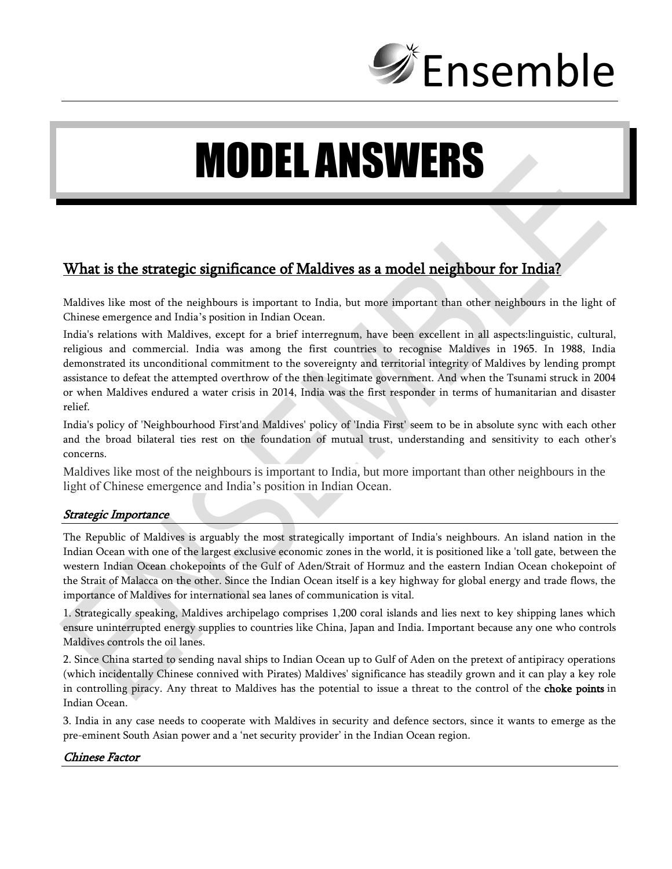

# MODEL ANSWERS

# What is the strategic significance of Maldives as a model neighbour for India?

Maldives like most of the neighbours is important to India, but more important than other neighbours in the light of Chinese emergence and India's position in Indian Ocean.

India's relations with Maldives, except for a brief interregnum, have been excellent in all aspects:linguistic, cultural, religious and commercial. India was among the first countries to recognise Maldives in 1965. In 1988, India demonstrated its unconditional commitment to the sovereignty and territorial integrity of Maldives by lending prompt assistance to defeat the attempted overthrow of the then legitimate government. And when the Tsunami struck in 2004 or when Maldives endured a water crisis in 2014, India was the first responder in terms of humanitarian and disaster relief.

India's policy of 'Neighbourhood First'and Maldives' policy of 'India First' seem to be in absolute sync with each other and the broad bilateral ties rest on the foundation of mutual trust, understanding and sensitivity to each other's concerns.

Maldives like most of the neighbours is important to India, but more important than other neighbours in the light of Chinese emergence and India's position in Indian Ocean.

#### Strategic Importance

The Republic of Maldives is arguably the most strategically important of India's neighbours. An island nation in the Indian Ocean with one of the largest exclusive economic zones in the world, it is positioned like a 'toll gate, between the western Indian Ocean chokepoints of the Gulf of Aden/Strait of Hormuz and the eastern Indian Ocean chokepoint of the Strait of Malacca on the other. Since the Indian Ocean itself is a key highway for global energy and trade flows, the importance of Maldives for international sea lanes of communication is vital.

1. Strategically speaking, Maldives archipelago comprises 1,200 coral islands and lies next to key shipping lanes which ensure uninterrupted energy supplies to countries like China, Japan and India. Important because any one who controls Maldives controls the oil lanes.

2. Since China started to sending naval ships to Indian Ocean up to Gulf of Aden on the pretext of antipiracy operations (which incidentally Chinese connived with Pirates) Maldives' significance has steadily grown and it can play a key role in controlling piracy. Any threat to Maldives has the potential to issue a threat to the control of the **choke points** in Indian Ocean.

3. India in any case needs to cooperate with Maldives in security and defence sectors, since it wants to emerge as the pre-eminent South Asian power and a 'net security provider' in the Indian Ocean region.

#### Chinese Factor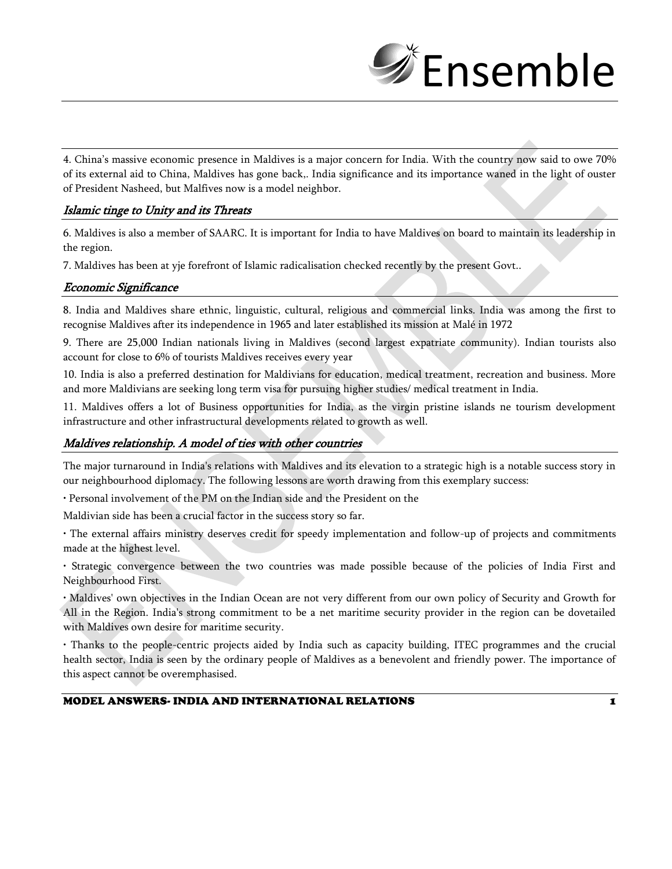

4. China's massive economic presence in Maldives is a major concern for India. With the country now said to owe 70% of its external aid to China, Maldives has gone back,. India significance and its importance waned in the light of ouster of President Nasheed, but Malfives now is a model neighbor.

#### Islamic tinge to Unity and its Threats

6. Maldives is also a member of SAARC. It is important for India to have Maldives on board to maintain its leadership in the region.

7. Maldives has been at yje forefront of Islamic radicalisation checked recently by the present Govt..

#### Economic Significance

8. India and Maldives share ethnic, linguistic, cultural, religious and commercial links. India was among the first to recognise Maldives after its independence in 1965 and later established its mission at Malé in 1972

9. There are 25,000 Indian nationals living in Maldives (second largest expatriate community). Indian tourists also account for close to 6% of tourists Maldives receives every year

10. India is also a preferred destination for Maldivians for education, medical treatment, recreation and business. More and more Maldivians are seeking long term visa for pursuing higher studies/ medical treatment in India.

11. Maldives offers a lot of Business opportunities for India, as the virgin pristine islands ne tourism development infrastructure and other infrastructural developments related to growth as well.

#### Maldives relationship. A model of ties with other countries

The major turnaround in India's relations with Maldives and its elevation to a strategic high is a notable success story in our neighbourhood diplomacy. The following lessons are worth drawing from this exemplary success:

• Personal involvement of the PM on the Indian side and the President on the

Maldivian side has been a crucial factor in the success story so far.

• The external affairs ministry deserves credit for speedy implementation and follow-up of projects and commitments made at the highest level.

• Strategic convergence between the two countries was made possible because of the policies of India First and Neighbourhood First.

• Maldives' own objectives in the Indian Ocean are not very different from our own policy of Security and Growth for All in the Region. India's strong commitment to be a net maritime security provider in the region can be dovetailed with Maldives own desire for maritime security.

• Thanks to the people-centric projects aided by India such as capacity building, ITEC programmes and the crucial health sector, India is seen by the ordinary people of Maldives as a benevolent and friendly power. The importance of this aspect cannot be overemphasised.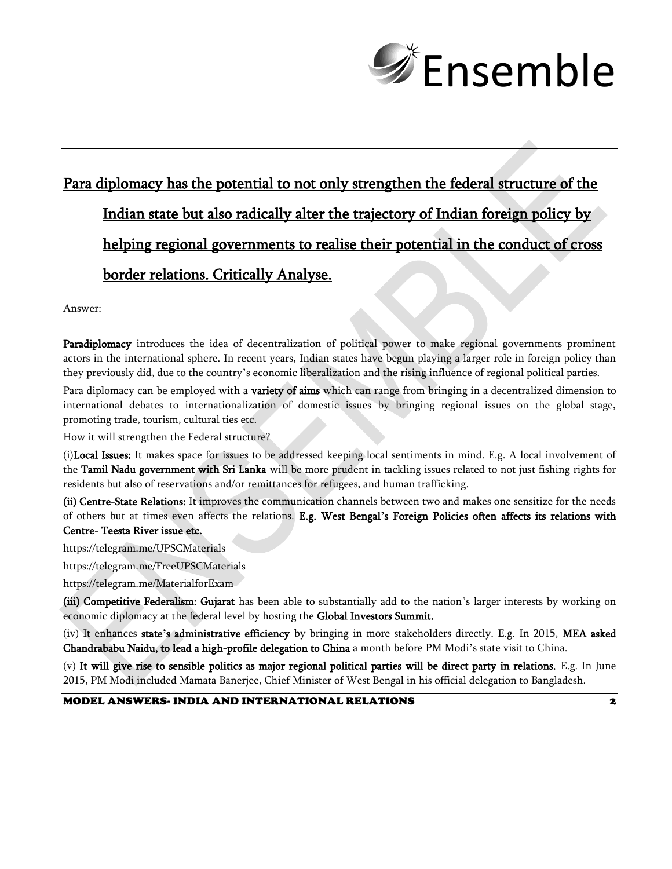

# Para diplomacy has the potential to not only strengthen the federal structure of the Indian state but also radically alter the trajectory of Indian foreign policy by helping regional governments to realise their potential in the conduct of cross border relations. Critically Analyse.

Answer:

Paradiplomacy introduces the idea of decentralization of political power to make regional governments prominent actors in the international sphere. In recent years, Indian states have begun playing a larger role in foreign policy than they previously did, due to the country's economic liberalization and the rising influence of regional political parties.

Para diplomacy can be employed with a **variety of aims** which can range from bringing in a decentralized dimension to international debates to internationalization of domestic issues by bringing regional issues on the global stage, promoting trade, tourism, cultural ties etc.

How it will strengthen the Federal structure?

(i)Local Issues: It makes space for issues to be addressed keeping local sentiments in mind. E.g. A local involvement of the Tamil Nadu government with Sri Lanka will be more prudent in tackling issues related to not just fishing rights for residents but also of reservations and/or remittances for refugees, and human trafficking.

(ii) Centre-State Relations: It improves the communication channels between two and makes one sensitize for the needs of others but at times even affects the relations. E.g. West Bengal**'**s Foreign Policies often affects its relations with Centre- Teesta River issue etc.

https://telegram.me/UPSCMaterials

https://telegram.me/FreeUPSCMaterials

https://telegram.me/MaterialforExam

(iii) Competitive Federalism: Gujarat has been able to substantially add to the nation's larger interests by working on economic diplomacy at the federal level by hosting the Global Investors Summit.

(iv) It enhances state**'**s administrative efficiency by bringing in more stakeholders directly. E.g. In 2015, MEA asked Chandrababu Naidu, to lead a high-profile delegation to China a month before PM Modi's state visit to China.

(v) It will give rise to sensible politics as major regional political parties will be direct party in relations. E.g. In June 2015, PM Modi included Mamata Banerjee, Chief Minister of West Bengal in his official delegation to Bangladesh.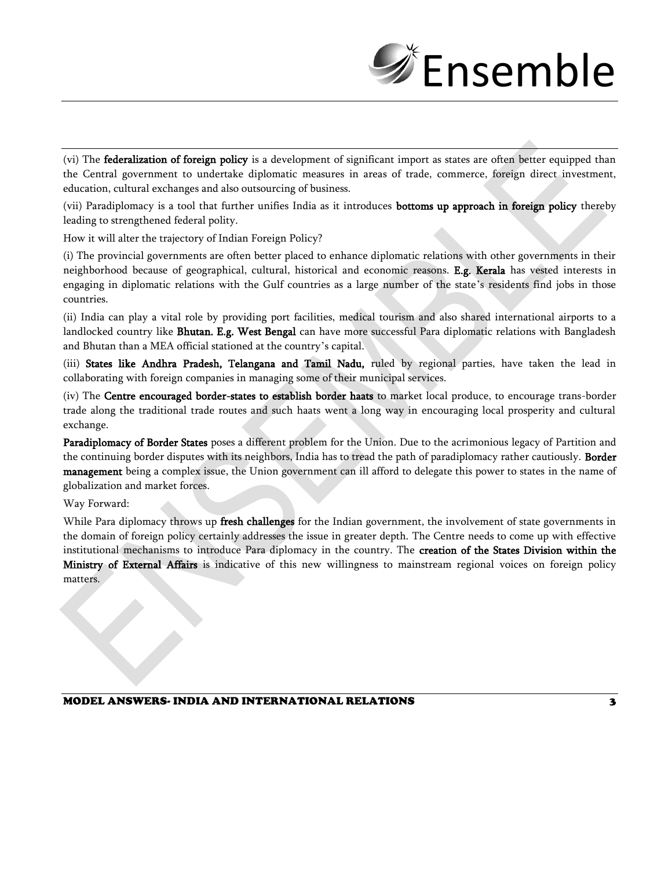

(vi) The **federalization of foreign policy** is a development of significant import as states are often better equipped than the Central government to undertake diplomatic measures in areas of trade, commerce, foreign direct investment, education, cultural exchanges and also outsourcing of business.

(vii) Paradiplomacy is a tool that further unifies India as it introduces **bottoms up approach in foreign policy** thereby leading to strengthened federal polity.

How it will alter the trajectory of Indian Foreign Policy?

(i) The provincial governments are often better placed to enhance diplomatic relations with other governments in their neighborhood because of geographical, cultural, historical and economic reasons. E.g. Kerala has vested interests in engaging in diplomatic relations with the Gulf countries as a large number of the state's residents find jobs in those countries.

(ii) India can play a vital role by providing port facilities, medical tourism and also shared international airports to a landlocked country like Bhutan. E.g. West Bengal can have more successful Para diplomatic relations with Bangladesh and Bhutan than a MEA official stationed at the country's capital.

(iii) States like Andhra Pradesh, Telangana and Tamil Nadu, ruled by regional parties, have taken the lead in collaborating with foreign companies in managing some of their municipal services.

(iv) The Centre encouraged border-states to establish border haats to market local produce, to encourage trans-border trade along the traditional trade routes and such haats went a long way in encouraging local prosperity and cultural exchange.

Paradiplomacy of Border States poses a different problem for the Union. Due to the acrimonious legacy of Partition and the continuing border disputes with its neighbors, India has to tread the path of paradiplomacy rather cautiously. Border management being a complex issue, the Union government can ill afford to delegate this power to states in the name of globalization and market forces.

Way Forward:

While Para diplomacy throws up fresh challenges for the Indian government, the involvement of state governments in the domain of foreign policy certainly addresses the issue in greater depth. The Centre needs to come up with effective institutional mechanisms to introduce Para diplomacy in the country. The creation of the States Division within the Ministry of External Affairs is indicative of this new willingness to mainstream regional voices on foreign policy matters.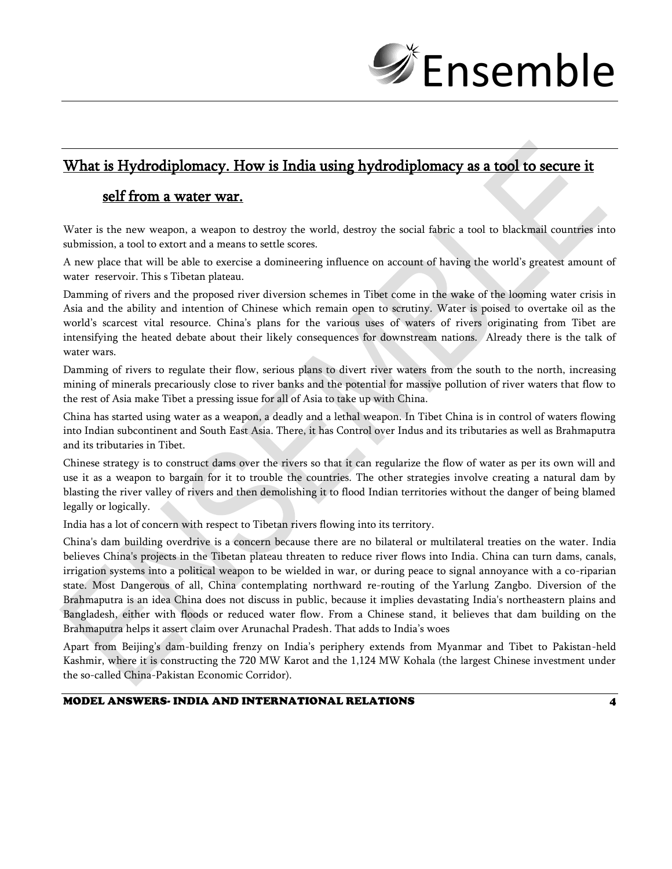

## What is Hydrodiplomacy. How is India using hydrodiplomacy as a tool to secure it

## self from a water war.

Water is the new weapon, a weapon to destroy the world, destroy the social fabric a tool to blackmail countries into submission, a tool to extort and a means to settle scores.

A new place that will be able to exercise a domineering influence on account of having the world's greatest amount of water reservoir. This s Tibetan plateau.

Damming of rivers and the proposed river diversion schemes in Tibet come in the wake of the looming water crisis in Asia and the ability and intention of Chinese which remain open to scrutiny. Water is poised to overtake oil as the world's scarcest vital resource. China's plans for the various uses of waters of rivers originating from Tibet are intensifying the heated debate about their likely consequences for downstream nations. Already there is the talk of water wars.

Damming of rivers to regulate their flow, serious plans to divert river waters from the south to the north, increasing mining of minerals precariously close to river banks and the potential for massive pollution of river waters that flow to the rest of Asia make Tibet a pressing issue for all of Asia to take up with China.

China has started using water as a weapon, a deadly and a lethal weapon. In Tibet China is in control of waters flowing into Indian subcontinent and South East Asia. There, it has Control over Indus and its tributaries as well as Brahmaputra and its tributaries in Tibet.

Chinese strategy is to construct dams over the rivers so that it can regularize the flow of water as per its own will and use it as a weapon to bargain for it to trouble the countries. The other strategies involve creating a natural dam by blasting the river valley of rivers and then demolishing it to flood Indian territories without the danger of being blamed legally or logically.

India has a lot of concern with respect to Tibetan rivers flowing into its territory.

China's dam building overdrive is a concern because there are no bilateral or multilateral treaties on the water. India believes China's projects in the Tibetan plateau threaten to reduce river flows into India. China can turn dams, canals, irrigation systems into a political weapon to be wielded in war, or during peace to signal annoyance with a co-riparian state. Most Dangerous of all, China contemplating northward re-routing of the Yarlung Zangbo. Diversion of the Brahmaputra is an idea China does not discuss in public, because it implies devastating India's northeastern plains and Bangladesh, either with floods or reduced water flow. From a Chinese stand, it believes that dam building on the Brahmaputra helps it assert claim over Arunachal Pradesh. That adds to India's woes

Apart from Beijing's dam-building frenzy on India's periphery extends from Myanmar and Tibet to Pakistan-held Kashmir, where it is constructing the 720 MW Karot and the 1,124 MW Kohala (the largest Chinese investment under the so-called China-Pakistan Economic Corridor).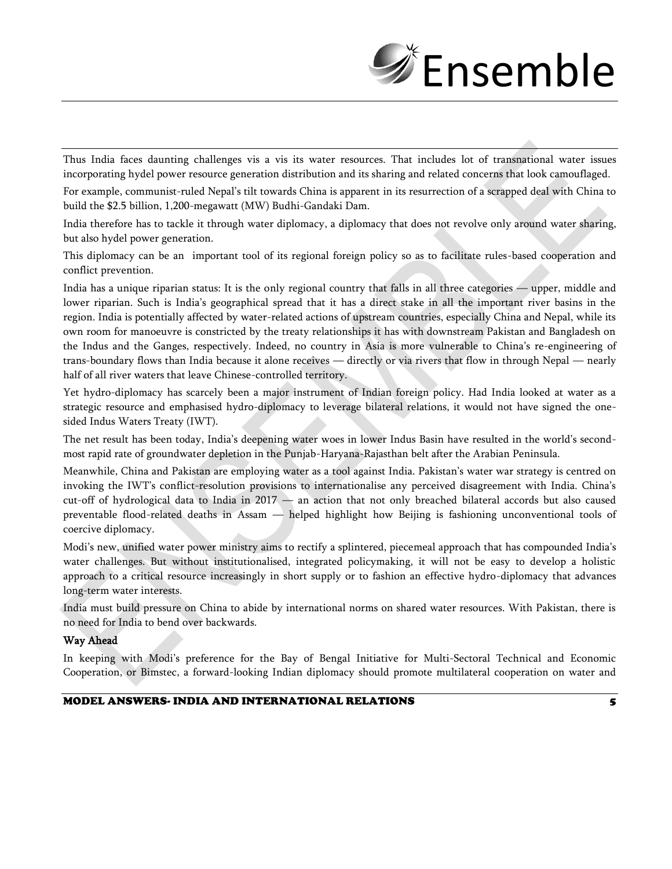

Thus India faces daunting challenges vis a vis its water resources. That includes lot of transnational water issues incorporating hydel power resource generation distribution and its sharing and related concerns that look camouflaged.

For example, communist-ruled Nepal's tilt towards China is apparent in its resurrection of a scrapped deal with China to build the \$2.5 billion, 1,200-megawatt (MW) Budhi-Gandaki Dam.

India therefore has to tackle it through water diplomacy, a diplomacy that does not revolve only around water sharing, but also hydel power generation.

This diplomacy can be an important tool of its regional foreign policy so as to facilitate rules-based cooperation and conflict prevention.

India has a unique riparian status: It is the only regional country that falls in all three categories — upper, middle and lower riparian. Such is India's geographical spread that it has a direct stake in all the important river basins in the region. India is potentially affected by water-related actions of upstream countries, especially China and Nepal, while its own room for manoeuvre is constricted by the treaty relationships it has with downstream Pakistan and Bangladesh on the Indus and the Ganges, respectively. Indeed, no country in Asia is more vulnerable to China's re-engineering of trans-boundary flows than India because it alone receives — directly or via rivers that flow in through Nepal — nearly half of all river waters that leave Chinese-controlled territory.

Yet hydro-diplomacy has scarcely been a major instrument of Indian foreign policy. Had India looked at water as a strategic resource and emphasised hydro-diplomacy to leverage bilateral relations, it would not have signed the onesided Indus Waters Treaty (IWT).

The net result has been today, India's deepening water woes in lower Indus Basin have resulted in the world's secondmost rapid rate of groundwater depletion in the Punjab-Haryana-Rajasthan belt after the Arabian Peninsula.

Meanwhile, China and Pakistan are employing water as a tool against India. Pakistan's water war strategy is centred on invoking the IWT's conflict-resolution provisions to internationalise any perceived disagreement with India. China's cut-off of hydrological data to India in 2017 — an action that not only breached bilateral accords but also caused preventable flood-related deaths in Assam — helped highlight how Beijing is fashioning unconventional tools of coercive diplomacy.

Modi's new, unified water power ministry aims to rectify a splintered, piecemeal approach that has compounded India's water challenges. But without institutionalised, integrated policymaking, it will not be easy to develop a holistic approach to a critical resource increasingly in short supply or to fashion an effective hydro-diplomacy that advances long-term water interests.

India must build pressure on China to abide by international norms on shared water resources. With Pakistan, there is no need for India to bend over backwards.

#### Way Ahead

In keeping with Modi's preference for the Bay of Bengal Initiative for Multi-Sectoral Technical and Economic Cooperation, or Bimstec, a forward-looking Indian diplomacy should promote multilateral cooperation on water and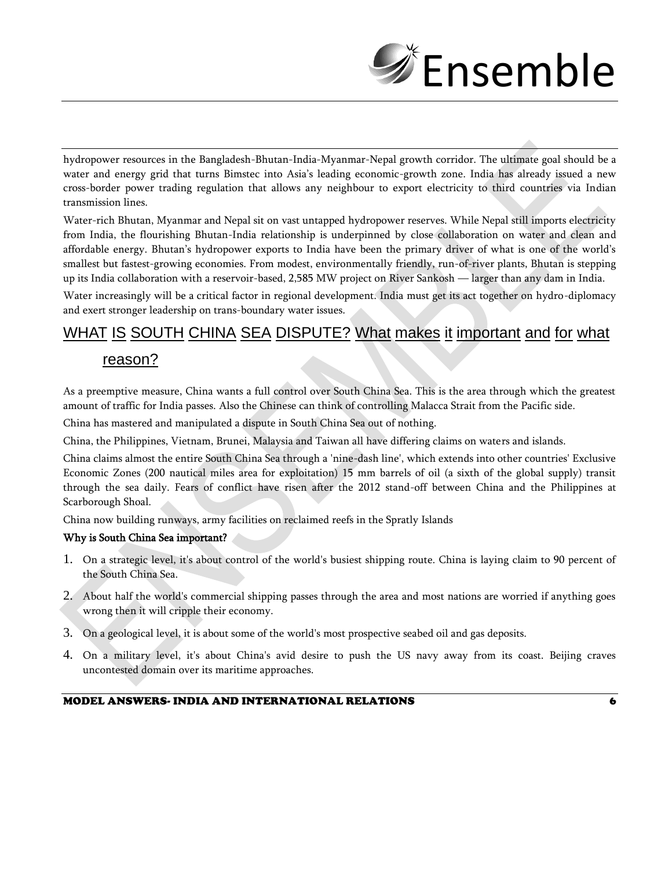

hydropower resources in the Bangladesh-Bhutan-India-Myanmar-Nepal growth corridor. The ultimate goal should be a water and energy grid that turns Bimstec into Asia's leading economic-growth zone. India has already issued a new cross-border power trading regulation that allows any neighbour to export electricity to third countries via Indian transmission lines.

Water-rich Bhutan, Myanmar and Nepal sit on vast untapped hydropower reserves. While Nepal still imports electricity from India, the flourishing Bhutan-India relationship is underpinned by close collaboration on water and clean and affordable energy. Bhutan's hydropower exports to India have been the primary driver of what is one of the world's smallest but fastest-growing economies. From modest, environmentally friendly, run-of-river plants, Bhutan is stepping up its India collaboration with a reservoir-based, 2,585 MW project on River Sankosh — larger than any dam in India.

Water increasingly will be a critical factor in regional development. India must get its act together on hydro-diplomacy and exert stronger leadership on trans-boundary water issues.

# WHAT IS SOUTH CHINA SEA DISPUTE? What makes it important and for what

### reason?

As a preemptive measure, China wants a full control over South China Sea. This is the area through which the greatest amount of traffic for India passes. Also the Chinese can think of controlling Malacca Strait from the Pacific side.

China has mastered and manipulated a dispute in South China Sea out of nothing.

China, the Philippines, Vietnam, Brunei, Malaysia and Taiwan all have differing claims on waters and islands.

China claims almost the entire South China Sea through a 'nine-dash line', which extends into other countries' Exclusive Economic Zones (200 nautical miles area for exploitation) 15 mm barrels of oil (a sixth of the global supply) transit through the sea daily. Fears of conflict have risen after the 2012 stand-off between China and the Philippines at Scarborough Shoal.

China now building runways, army facilities on reclaimed reefs in the Spratly Islands

#### Why is South China Sea important?

- 1. On a strategic level, it's about control of the world's busiest shipping route. China is laying claim to 90 percent of the South China Sea.
- 2. About half the world's commercial shipping passes through the area and most nations are worried if anything goes wrong then it will cripple their economy.
- 3. On a geological level, it is about some of the world's most prospective seabed oil and gas deposits.
- 4. On a military level, it's about China's avid desire to push the US navy away from its coast. Beijing craves uncontested domain over its maritime approaches.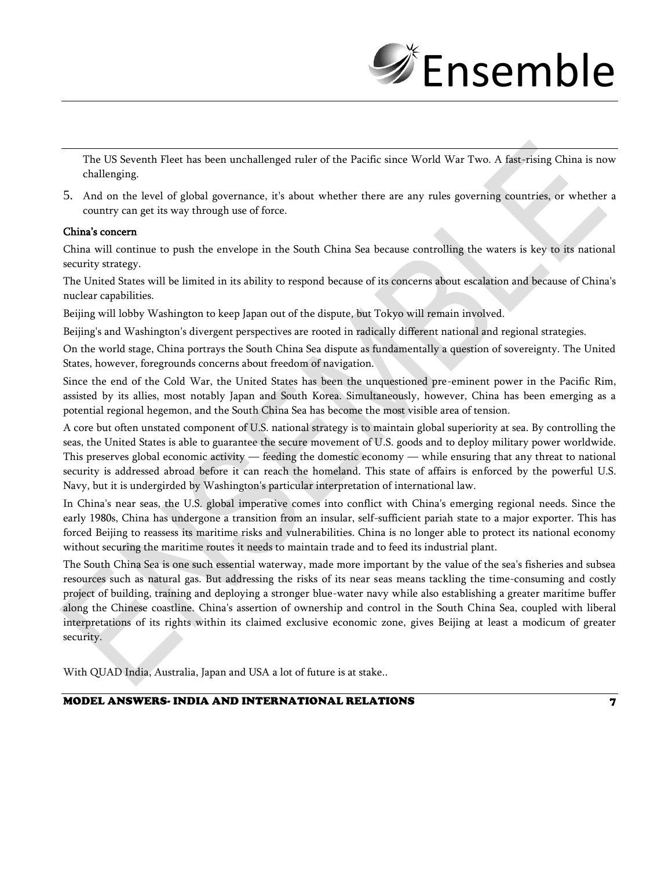

The US Seventh Fleet has been unchallenged ruler of the Pacific since World War Two. A fast-rising China is now challenging.

5. And on the level of global governance, it's about whether there are any rules governing countries, or whether a country can get its way through use of force.

#### China's concern

China will continue to push the envelope in the South China Sea because controlling the waters is key to its national security strategy.

The United States will be limited in its ability to respond because of its concerns about escalation and because of China's nuclear capabilities.

Beijing will lobby Washington to keep Japan out of the dispute, but Tokyo will remain involved.

Beijing's and Washington's divergent perspectives are rooted in radically different national and regional strategies.

On the world stage, China portrays the South China Sea dispute as fundamentally a question of sovereignty. The United States, however, foregrounds concerns about freedom of navigation.

Since the end of the Cold War, the United States has been the unquestioned pre-eminent power in the Pacific Rim, assisted by its allies, most notably Japan and South Korea. Simultaneously, however, China has been emerging as a potential regional hegemon, and the South China Sea has become the most visible area of tension.

A core but often unstated component of U.S. national strategy is to maintain global superiority at sea. By controlling the seas, the United States is able to guarantee the secure movement of U.S. goods and to deploy military power worldwide. This preserves global economic activity — feeding the domestic economy — while ensuring that any threat to national security is addressed abroad before it can reach the homeland. This state of affairs is enforced by the powerful U.S. Navy, but it is undergirded by Washington's particular interpretation of international law.

In China's near seas, the U.S. global imperative comes into conflict with China's emerging regional needs. Since the early 1980s, China has undergone a transition from an insular, self-sufficient pariah state to a major exporter. This has forced Beijing to reassess its maritime risks and vulnerabilities. China is no longer able to protect its national economy without securing the maritime routes it needs to maintain trade and to feed its industrial plant.

The South China Sea is one such essential waterway, made more important by the value of the sea's fisheries and subsea resources such as natural gas. But addressing the risks of its near seas means tackling the time-consuming and costly project of building, training and deploying a stronger blue-water navy while also establishing a greater maritime buffer along the Chinese coastline. China's assertion of ownership and control in the South China Sea, coupled with liberal interpretations of its rights within its claimed exclusive economic zone, gives Beijing at least a modicum of greater security.

With QUAD India, Australia, Japan and USA a lot of future is at stake..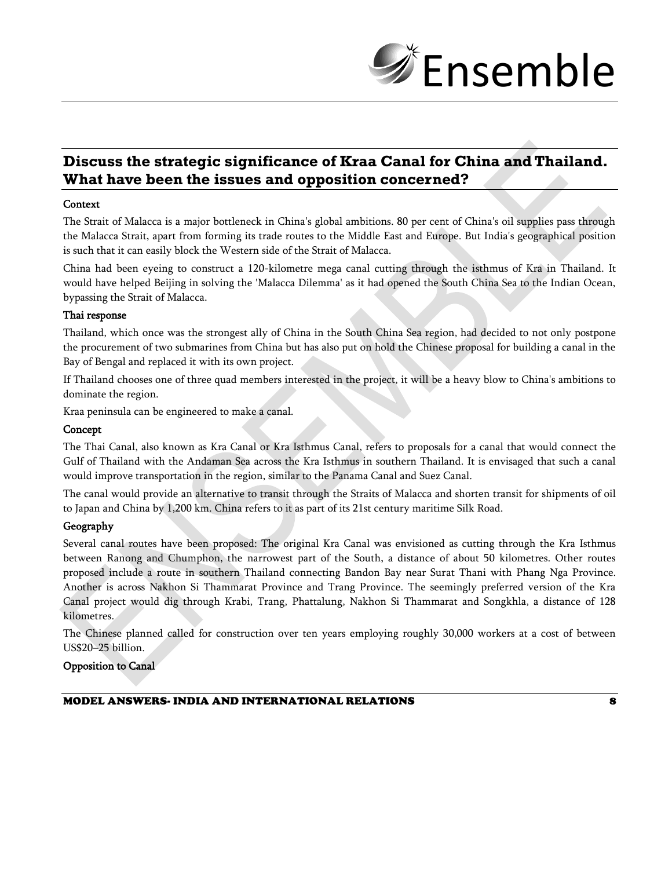

## **Discuss the strategic significance of Kraa Canal for China and Thailand. What have been the issues and opposition concerned?**

#### **Context**

The Strait of Malacca is a major bottleneck in China's global ambitions. 80 per cent of China's oil supplies pass through the Malacca Strait, apart from forming its trade routes to the Middle East and Europe. But India's geographical position is such that it can easily block the Western side of the Strait of Malacca.

China had been eyeing to construct a 120-kilometre mega canal cutting through the isthmus of Kra in Thailand. It would have helped Beijing in solving the 'Malacca Dilemma' as it had opened the South China Sea to the Indian Ocean, bypassing the Strait of Malacca.

#### Thai response

Thailand, which once was the strongest ally of China in the South China Sea region, had decided to not only postpone the procurement of two submarines from China but has also put on hold the Chinese proposal for building a canal in the Bay of Bengal and replaced it with its own project.

If Thailand chooses one of three quad members interested in the project, it will be a heavy blow to China's ambitions to dominate the region.

Kraa peninsula can be engineered to make a canal.

#### Concept

The Thai Canal, also known as Kra Canal or Kra Isthmus Canal, refers to proposals for a canal that would connect the Gulf of Thailand with the Andaman Sea across the Kra Isthmus in southern Thailand. It is envisaged that such a canal would improve transportation in the region, similar to the Panama Canal and Suez Canal.

The canal would provide an alternative to transit through the Straits of Malacca and shorten transit for shipments of oil to Japan and China by 1,200 km. China refers to it as part of its 21st century maritime Silk Road.

#### Geography

Several canal routes have been proposed: The original Kra Canal was envisioned as cutting through the Kra Isthmus between Ranong and Chumphon, the narrowest part of the South, a distance of about 50 kilometres. Other routes proposed include a route in southern Thailand connecting Bandon Bay near Surat Thani with Phang Nga Province. Another is across Nakhon Si Thammarat Province and Trang Province. The seemingly preferred version of the Kra Canal project would dig through Krabi, Trang, Phattalung, Nakhon Si Thammarat and Songkhla, a distance of 128 kilometres.

The Chinese planned called for construction over ten years employing roughly 30,000 workers at a cost of between US\$20–25 billion.

#### Opposition to Canal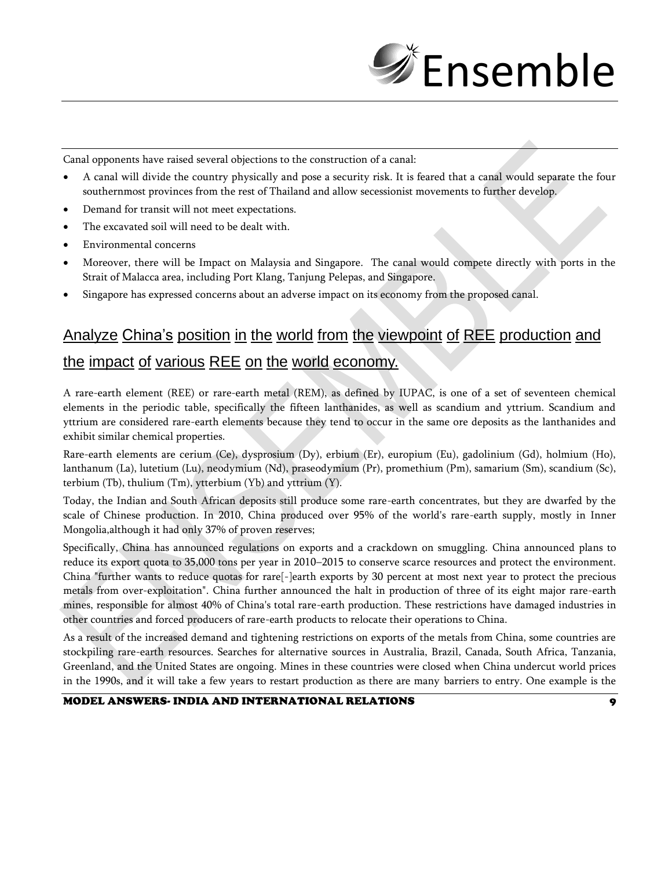

Canal opponents have raised several objections to the construction of a canal:

- A canal will divide the country physically and pose a security risk. It is feared that a canal would separate the four southernmost provinces from the rest of Thailand and allow secessionist movements to further develop.
- Demand for transit will not meet expectations.
- The excavated soil will need to be dealt with.
- Environmental concerns
- Moreover, there will be Impact on Malaysia and Singapore. The canal would compete directly with ports in the Strait of Malacca area, including Port Klang, Tanjung Pelepas, and Singapore.
- Singapore has expressed concerns about an adverse impact on its economy from the proposed canal.

# Analyze China's position in the world from the viewpoint of REE production and the impact of various REE on the world economy.

A rare-earth element (REE) or rare-earth metal (REM), as defined by IUPAC, is one of a set of seventeen chemical elements in the periodic table, specifically the fifteen lanthanides, as well as scandium and yttrium. Scandium and yttrium are considered rare-earth elements because they tend to occur in the same ore deposits as the lanthanides and exhibit similar chemical properties.

Rare-earth elements are cerium (Ce), dysprosium (Dy), erbium (Er), europium (Eu), gadolinium (Gd), holmium (Ho), lanthanum (La), lutetium (Lu), neodymium (Nd), praseodymium (Pr), promethium (Pm), samarium (Sm), scandium (Sc), terbium (Tb), thulium (Tm), ytterbium (Yb) and yttrium (Y).

Today, the Indian and South African deposits still produce some rare-earth concentrates, but they are dwarfed by the scale of Chinese production. In 2010, China produced over 95% of the world's rare-earth supply, mostly in Inner Mongolia,although it had only 37% of proven reserves;

Specifically, China has announced regulations on exports and a crackdown on smuggling. China announced plans to reduce its export quota to 35,000 tons per year in 2010–2015 to conserve scarce resources and protect the environment. China "further wants to reduce quotas for rare[-]earth exports by 30 percent at most next year to protect the precious metals from over-exploitation". China further announced the halt in production of three of its eight major rare-earth mines, responsible for almost 40% of China's total rare-earth production. These restrictions have damaged industries in other countries and forced producers of rare-earth products to relocate their operations to China.

As a result of the increased demand and tightening restrictions on exports of the metals from China, some countries are stockpiling rare-earth resources. Searches for alternative sources in Australia, Brazil, Canada, South Africa, Tanzania, Greenland, and the United States are ongoing. Mines in these countries were closed when China undercut world prices in the 1990s, and it will take a few years to restart production as there are many barriers to entry. One example is the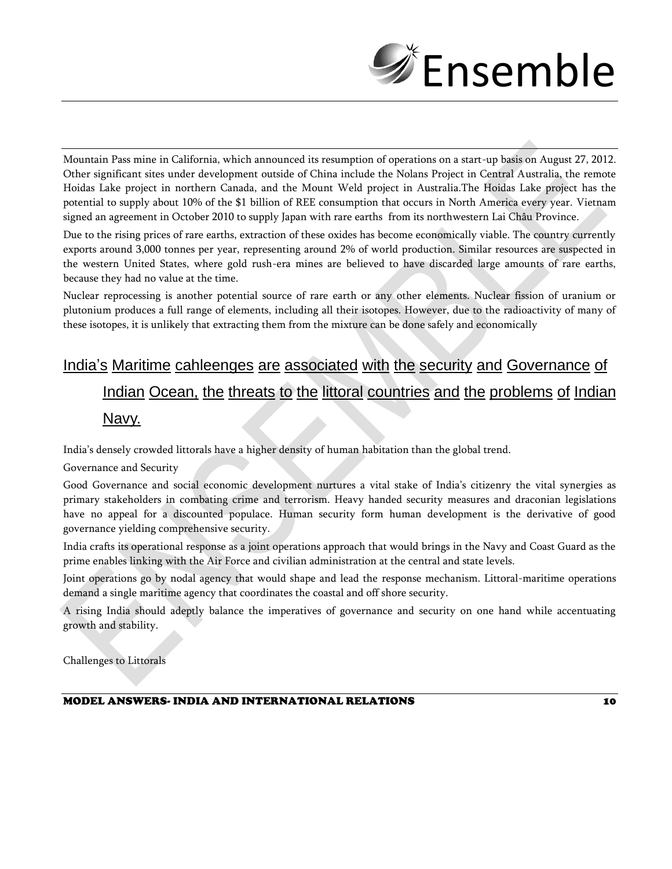

Mountain Pass mine in California, which announced its resumption of operations on a start-up basis on August 27, 2012. Other significant sites under development outside of China include the Nolans Project in Central Australia, the remote Hoidas Lake project in northern Canada, and the Mount Weld project in Australia.The Hoidas Lake project has the potential to supply about 10% of the \$1 billion of REE consumption that occurs in North America every year. Vietnam signed an agreement in October 2010 to supply Japan with rare earths from its northwestern Lai Châu Province.

Due to the rising prices of rare earths, extraction of these oxides has become economically viable. The country currently exports around 3,000 tonnes per year, representing around 2% of world production. Similar resources are suspected in the western United States, where gold rush-era mines are believed to have discarded large amounts of rare earths, because they had no value at the time.

Nuclear reprocessing is another potential source of rare earth or any other elements. Nuclear fission of uranium or plutonium produces a full range of elements, including all their isotopes. However, due to the radioactivity of many of these isotopes, it is unlikely that extracting them from the mixture can be done safely and economically

# India's Maritime cahleenges are associated with the security and Governance of Indian Ocean, the threats to the littoral countries and the problems of Indian Navy.

India's densely crowded littorals have a higher density of human habitation than the global trend.

#### Governance and Security

Good Governance and social economic development nurtures a vital stake of India's citizenry the vital synergies as primary stakeholders in combating crime and terrorism. Heavy handed security measures and draconian legislations have no appeal for a discounted populace. Human security form human development is the derivative of good governance yielding comprehensive security.

India crafts its operational response as a joint operations approach that would brings in the Navy and Coast Guard as the prime enables linking with the Air Force and civilian administration at the central and state levels.

Joint operations go by nodal agency that would shape and lead the response mechanism. Littoral-maritime operations demand a single maritime agency that coordinates the coastal and off shore security.

A rising India should adeptly balance the imperatives of governance and security on one hand while accentuating growth and stability.

Challenges to Littorals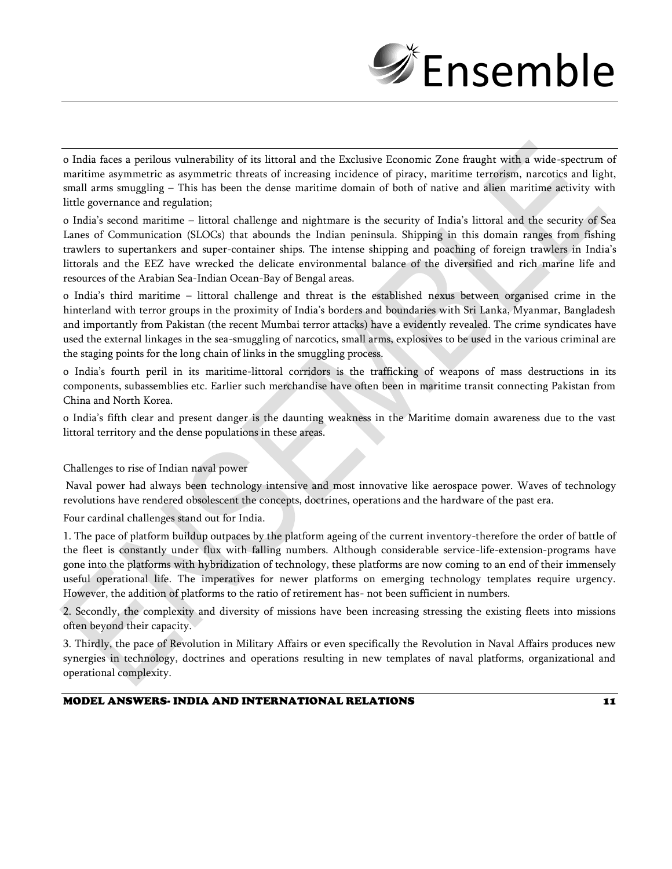

o India faces a perilous vulnerability of its littoral and the Exclusive Economic Zone fraught with a wide-spectrum of maritime asymmetric as asymmetric threats of increasing incidence of piracy, maritime terrorism, narcotics and light, small arms smuggling – This has been the dense maritime domain of both of native and alien maritime activity with little governance and regulation;

o India's second maritime – littoral challenge and nightmare is the security of India's littoral and the security of Sea Lanes of Communication (SLOCs) that abounds the Indian peninsula. Shipping in this domain ranges from fishing trawlers to supertankers and super-container ships. The intense shipping and poaching of foreign trawlers in India's littorals and the EEZ have wrecked the delicate environmental balance of the diversified and rich marine life and resources of the Arabian Sea-Indian Ocean-Bay of Bengal areas.

o India's third maritime – littoral challenge and threat is the established nexus between organised crime in the hinterland with terror groups in the proximity of India's borders and boundaries with Sri Lanka, Myanmar, Bangladesh and importantly from Pakistan (the recent Mumbai terror attacks) have a evidently revealed. The crime syndicates have used the external linkages in the sea-smuggling of narcotics, small arms, explosives to be used in the various criminal are the staging points for the long chain of links in the smuggling process.

o India's fourth peril in its maritime-littoral corridors is the trafficking of weapons of mass destructions in its components, subassemblies etc. Earlier such merchandise have often been in maritime transit connecting Pakistan from China and North Korea.

o India's fifth clear and present danger is the daunting weakness in the Maritime domain awareness due to the vast littoral territory and the dense populations in these areas.

Challenges to rise of Indian naval power

Naval power had always been technology intensive and most innovative like aerospace power. Waves of technology revolutions have rendered obsolescent the concepts, doctrines, operations and the hardware of the past era.

Four cardinal challenges stand out for India.

1. The pace of platform buildup outpaces by the platform ageing of the current inventory-therefore the order of battle of the fleet is constantly under flux with falling numbers. Although considerable service-life-extension-programs have gone into the platforms with hybridization of technology, these platforms are now coming to an end of their immensely useful operational life. The imperatives for newer platforms on emerging technology templates require urgency. However, the addition of platforms to the ratio of retirement has- not been sufficient in numbers.

2. Secondly, the complexity and diversity of missions have been increasing stressing the existing fleets into missions often beyond their capacity.

3. Thirdly, the pace of Revolution in Military Affairs or even specifically the Revolution in Naval Affairs produces new synergies in technology, doctrines and operations resulting in new templates of naval platforms, organizational and operational complexity.